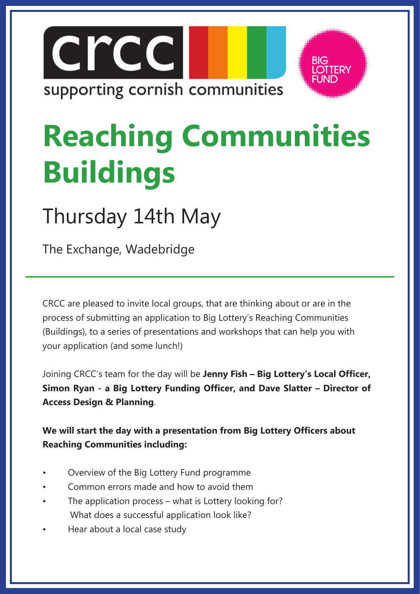



# **Reaching Communities Buildings**

## Thursday 14th May

The Exchange, Wadebridge

CRCC are pleased to invite local groups, that are thinking about or are in the process of submitting an application to Big Lottery's Reaching Communities (Buildings), to a series of presentations and workshops that can help you with your application (and some lunch!)

Joining CRCC's team for the day will be **Jenny Fish – Big Lottery's Local Officer, Simon Ryan - a Big Lottery Funding Officer, and Dave Slatter – Director of Access Design & Planning**.

**We will start the day with a presentation from Big Lottery Officers about Reaching Communities including:** 

- Overview of the Big Lottery Fund programme
- Common errors made and how to avoid them
- The application process what is Lottery looking for? What does a successful application look like?
- Hear about a local case study